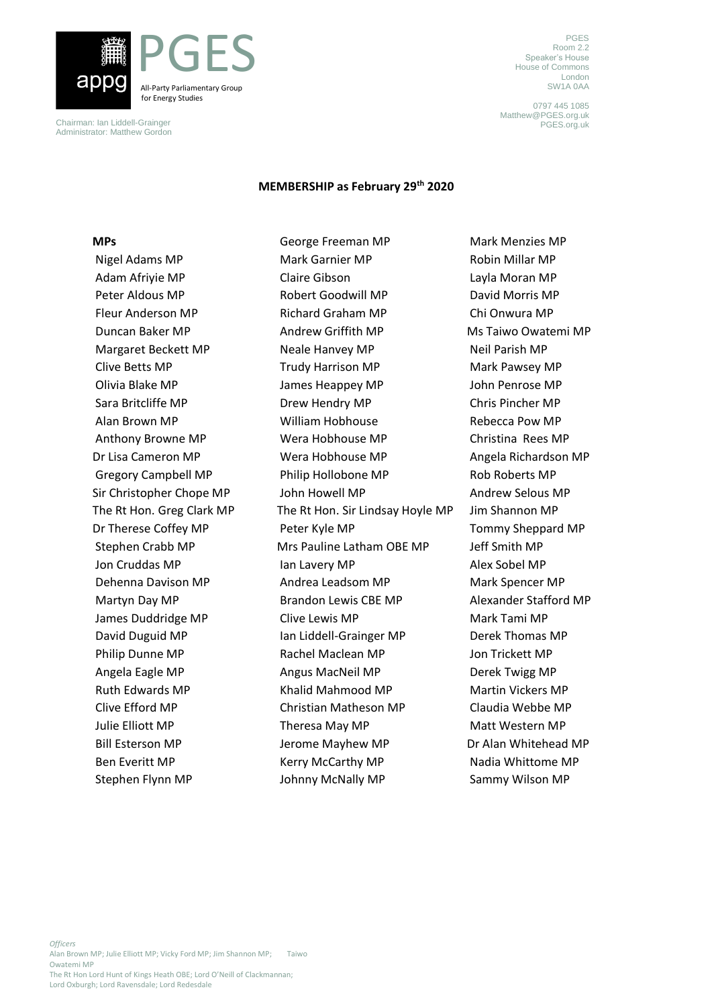

Chairman: Ian Liddell-Grainger Administrator: Matthew Gordon

PGES Room 2.2 Speaker's House House of Commons London SW1A 0AA

0797 445 1085 Matthew@PGES.org.uk PGES.org.uk

#### **MEMBERSHIP as February 29th 2020**

### **MPs**

Nigel Adams MP Adam Afriyie MP Peter Aldous MP Fleur Anderson MP Duncan Baker MP Margaret Beckett MP Clive Betts MP Olivia Blake MP Sara Britcliffe MP Alan Brown MP Anthony Browne MP Dr Lisa Cameron MP Gregory Campbell MP Sir Christopher Chope MP The Rt Hon. Greg Clark MP Dr Therese Coffey MP Stephen Crabb MP Jon Cruddas MP Dehenna Davison MP Martyn Day MP James Duddridge MP David Duguid MP Philip Dunne MP Angela Eagle MP Ruth Edwards MP Clive Efford MP Julie Elliott MP Bill Esterson MP Ben Everitt MP Stephen Flynn MP

George Freeman MP Mark Garnier MP Claire Gibson Robert Goodwill MP Richard Graham MP Andrew Griffith MP Neale Hanvey MP Trudy Harrison MP James Heappey MP Drew Hendry MP William Hobhouse Wera Hobhouse MP Wera Hobhouse MP Philip Hollobone MP John Howell MP The Rt Hon. Sir Lindsay Hoyle MP Peter Kyle MP Mrs Pauline Latham OBE MP Ian Lavery MP Andrea Leadsom MP Brandon Lewis CBE MP Clive Lewis MP Ian Liddell-Grainger MP Rachel Maclean MP Angus MacNeil MP Khalid Mahmood MP Christian Matheson MP Theresa May MP Jerome Mayhew MP Kerry McCarthy MP Johnny McNally MP

Mark Menzies MP Robin Millar MP Layla Moran MP David Morris MP Chi Onwura MP Ms Taiwo Owatemi MP Neil Parish MP Mark Pawsey MP John Penrose MP Chris Pincher MP Rebecca Pow MP Christina Rees MP Angela Richardson MP Rob Roberts MP Andrew Selous MP Jim Shannon MP Tommy Sheppard MP Jeff Smith MP Alex Sobel MP Mark Spencer MP Alexander Stafford MP Mark Tami MP Derek Thomas MP Jon Trickett MP Derek Twigg MP Martin Vickers MP Claudia Webbe MP Matt Western MP Dr Alan Whitehead MP Nadia Whittome MP Sammy Wilson MP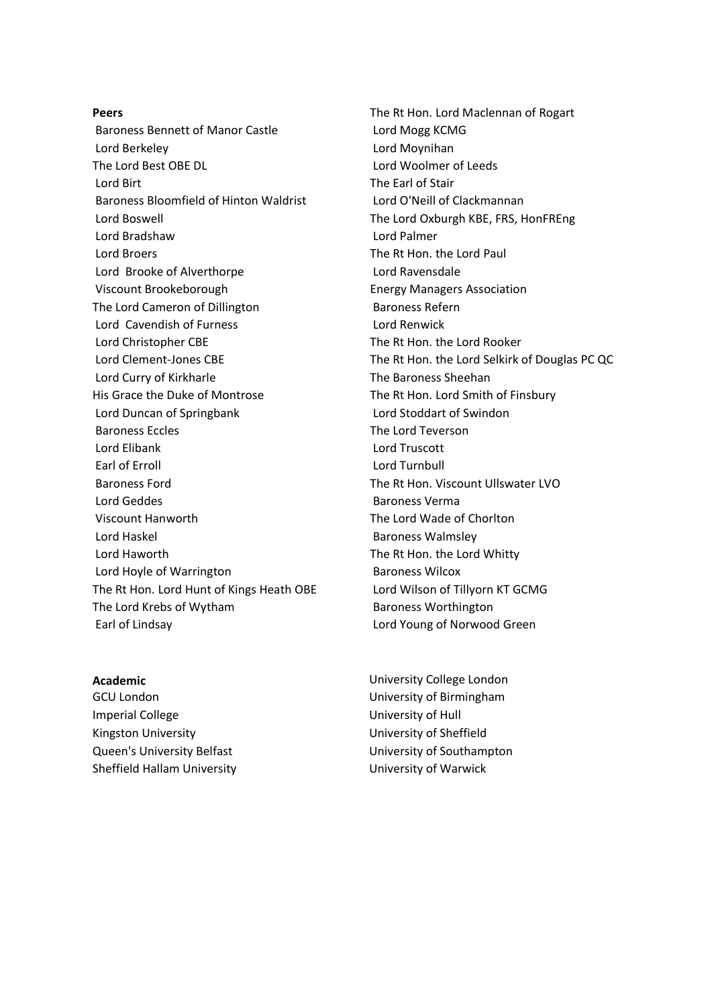**Peers** Baroness Bennett of Manor Castle Lord Berkeley The Lord Best OBE DL Lord Birt Baroness Bloomfield of Hinton Waldrist Lord Boswell Lord Bradshaw Lord Broers Lord Brooke of Alverthorpe Viscount Brookeborough The Lord Cameron of Dillington Lord Cavendish of Furness Lord Christopher CBE Lord Clement-Jones CBE Lord Curry of Kirkharle His Grace the Duke of Montrose Lord Duncan of Springbank Baroness Eccles Lord Elibank Earl of Erroll Baroness Ford Lord Geddes Viscount Hanworth Lord Haskel Lord Haworth Lord Hoyle of Warrington The Rt Hon. Lord Hunt of Kings Heath OBE The Lord Krebs of Wytham Earl of Lindsay

#### **Academic**

GCU London Imperial College Kingston University Queen's University Belfast Sheffield Hallam University

The Rt Hon. Lord Maclennan of Rogart Lord Mogg KCMG Lord Moynihan Lord Woolmer of Leeds The Earl of Stair Lord O'Neill of Clackmannan The Lord Oxburgh KBE, FRS, HonFREng Lord Palmer The Rt Hon. the Lord Paul Lord Ravensdale Energy Managers Association Baroness Refern Lord Renwick The Rt Hon. the Lord Rooker The Rt Hon. the Lord Selkirk of Douglas PC QC The Baroness Sheehan The Rt Hon. Lord Smith of Finsbury Lord Stoddart of Swindon The Lord Teverson Lord Truscott Lord Turnbull The Rt Hon. Viscount Ullswater LVO Baroness Verma The Lord Wade of Chorlton Baroness Walmsley The Rt Hon. the Lord Whitty Baroness Wilcox Lord Wilson of Tillyorn KT GCMG Baroness Worthington Lord Young of Norwood Green

University College London University of Birmingham University of Hull University of Sheffield University of Southampton University of Warwick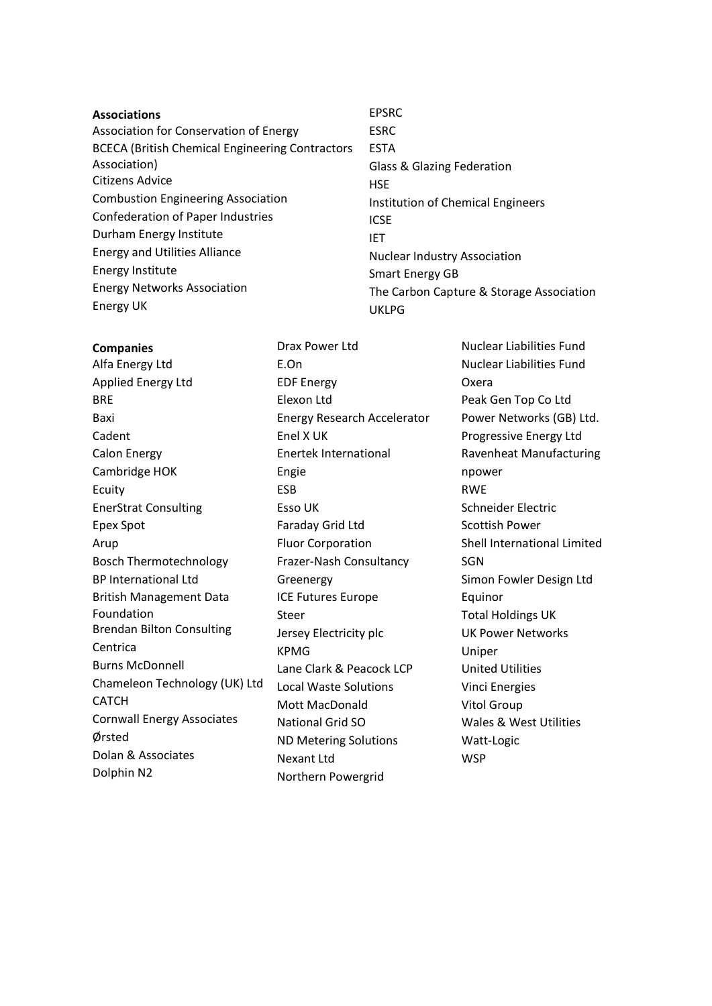- **Associations** Association for Conservation of Energy BCECA (British Chemical Engineering Contractors Association) Citizens Advice Combustion Engineering Association Confederation of Paper Industries Durham Energy Institute Energy and Utilities Alliance Energy Institute Energy Networks Association Energy UK
- **Companies**

Alfa Energy Ltd Applied Energy Ltd BRE Baxi Cadent Calon Energy Cambridge HOK Ecuity EnerStrat Consulting Epex Spot Arup Bosch Thermotechnology BP International Ltd British Management Data Foundation Brendan Bilton Consulting Centrica Burns McDonnell Chameleon Technology (UK) Ltd CATCH Cornwall Energy Associates Ørsted Dolan & Associates Dolphin N2

ESRC ESTA Glass & Glazing Federation **HSE** Institution of Chemical Engineers **ICSE** IET Nuclear Industry Association Smart Energy GB The Carbon Capture & Storage Association UKLPG

EPSRC

E.On EDF Energy Elexon Ltd Energy Research Accelerator Enel X UK Enertek International Engie ESB Esso UK Faraday Grid Ltd Fluor Corporation Frazer-Nash Consultancy Greenergy ICE Futures Europe Steer Jersey Electricity plc KPMG Lane Clark & Peacock LCP Local Waste Solutions Mott MacDonald National Grid SO ND Metering Solutions Nexant Ltd Northern Powergrid

Drax Power Ltd

Nuclear Liabilities Fund Nuclear Liabilities Fund Oxera Peak Gen Top Co Ltd Power Networks (GB) Ltd. Progressive Energy Ltd Ravenheat Manufacturing npower RWE Schneider Electric Scottish Power Shell International Limited SGN Simon Fowler Design Ltd Equinor Total Holdings UK UK Power Networks Uniper United Utilities Vinci Energies Vitol Group Wales & West Utilities Watt-Logic **WSP**